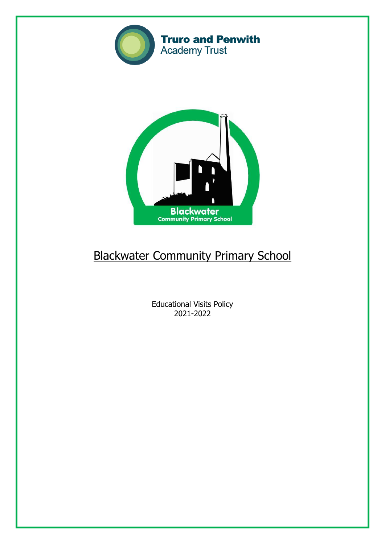



# Blackwater Community Primary School

Educational Visits Policy 2021-2022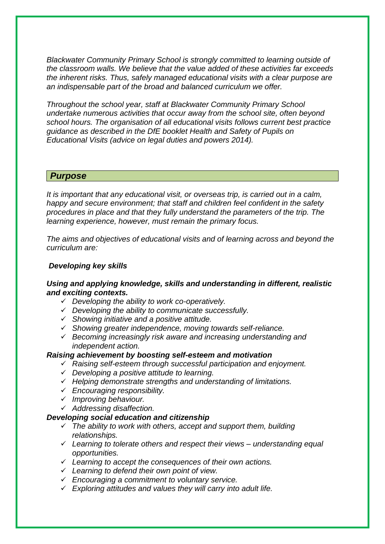*Blackwater Community Primary School is strongly committed to learning outside of the classroom walls. We believe that the value added of these activities far exceeds the inherent risks. Thus, safely managed educational visits with a clear purpose are an indispensable part of the broad and balanced curriculum we offer.* 

*Throughout the school year, staff at Blackwater Community Primary School undertake numerous activities that occur away from the school site, often beyond school hours. The organisation of all educational visits follows current best practice guidance as described in the DfE booklet Health and Safety of Pupils on Educational Visits (advice on legal duties and powers 2014).*

## *Purpose*

*It is important that any educational visit, or overseas trip, is carried out in a calm, happy and secure environment; that staff and children feel confident in the safety procedures in place and that they fully understand the parameters of the trip. The learning experience, however, must remain the primary focus.*

*The aims and objectives of educational visits and of learning across and beyond the curriculum are:*

### *Developing key skills*

## *Using and applying knowledge, skills and understanding in different, realistic and exciting contexts.*

- *Developing the ability to work co-operatively.*
- *Developing the ability to communicate successfully.*
- *Showing initiative and a positive attitude.*
- *Showing greater independence, moving towards self-reliance.*
- *Becoming increasingly risk aware and increasing understanding and independent action.*

# *Raising achievement by boosting self-esteem and motivation*

- *Raising self-esteem through successful participation and enjoyment.*
- *Developing a positive attitude to learning.*
- *Helping demonstrate strengths and understanding of limitations.*
- *Encouraging responsibility.*
- *Improving behaviour.*
- *Addressing disaffection.*

#### *Developing social education and citizenship*

- *The ability to work with others, accept and support them, building relationships.*
- *Learning to tolerate others and respect their views – understanding equal opportunities.*
- *Learning to accept the consequences of their own actions.*
- *Learning to defend their own point of view.*
- *Encouraging a commitment to voluntary service.*
- *Exploring attitudes and values they will carry into adult life.*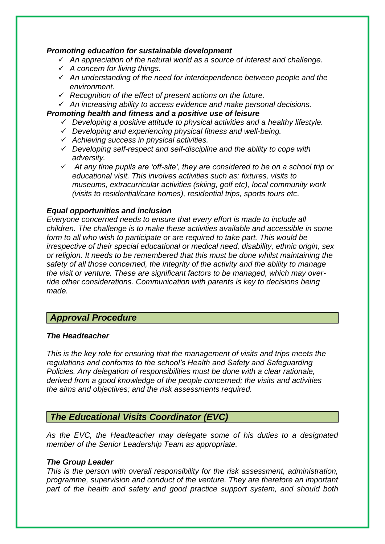## *Promoting education for sustainable development*

- *An appreciation of the natural world as a source of interest and challenge.*
- *A concern for living things.*
- *An understanding of the need for interdependence between people and the environment.*
- *Recognition of the effect of present actions on the future.*
- *An increasing ability to access evidence and make personal decisions.*

## *Promoting health and fitness and a positive use of leisure*

- *Developing a positive attitude to physical activities and a healthy lifestyle.*
- *Developing and experiencing physical fitness and well-being.*
- *Achieving success in physical activities.*
- *Developing self-respect and self-discipline and the ability to cope with adversity.*
- *At any time pupils are 'off-site', they are considered to be on a school trip or educational visit. This involves activities such as: fixtures, visits to museums, extracurricular activities (skiing, golf etc), local community work (visits to residential/care homes), residential trips, sports tours etc.*

## *Equal opportunities and inclusion*

*Everyone concerned needs to ensure that every effort is made to include all children. The challenge is to make these activities available and accessible in some form to all who wish to participate or are required to take part. This would be irrespective of their special educational or medical need, disability, ethnic origin, sex or religion. It needs to be remembered that this must be done whilst maintaining the safety of all those concerned, the integrity of the activity and the ability to manage the visit or venture. These are significant factors to be managed, which may override other considerations. Communication with parents is key to decisions being made.*

# *Approval Procedure*

## *The Headteacher*

*This is the key role for ensuring that the management of visits and trips meets the regulations and conforms to the school's Health and Safety and Safeguarding Policies. Any delegation of responsibilities must be done with a clear rationale, derived from a good knowledge of the people concerned; the visits and activities the aims and objectives; and the risk assessments required.*

# *The Educational Visits Coordinator (EVC)*

*As the EVC, the Headteacher may delegate some of his duties to a designated member of the Senior Leadership Team as appropriate.*

## *The Group Leader*

*This is the person with overall responsibility for the risk assessment, administration, programme, supervision and conduct of the venture. They are therefore an important*  part of the health and safety and good practice support system, and should both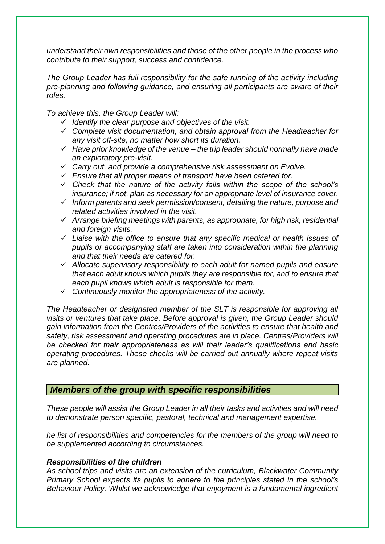*understand their own responsibilities and those of the other people in the process who contribute to their support, success and confidence.* 

*The Group Leader has full responsibility for the safe running of the activity including pre-planning and following guidance, and ensuring all participants are aware of their roles.* 

*To achieve this, the Group Leader will:* 

- *Identify the clear purpose and objectives of the visit.*
- *Complete visit documentation, and obtain approval from the Headteacher for any visit off-site, no matter how short its duration.*
- *Have prior knowledge of the venue – the trip leader should normally have made an exploratory pre-visit.*
- *Carry out, and provide a comprehensive risk assessment on Evolve.*
- *Ensure that all proper means of transport have been catered for.*
- *Check that the nature of the activity falls within the scope of the school's insurance; if not, plan as necessary for an appropriate level of insurance cover.*
- *Inform parents and seek permission/consent, detailing the nature, purpose and related activities involved in the visit.*
- *Arrange briefing meetings with parents, as appropriate, for high risk, residential and foreign visits.*
- *Liaise with the office to ensure that any specific medical or health issues of pupils or accompanying staff are taken into consideration within the planning and that their needs are catered for.*
- *Allocate supervisory responsibility to each adult for named pupils and ensure that each adult knows which pupils they are responsible for, and to ensure that each pupil knows which adult is responsible for them.*
- *Continuously monitor the appropriateness of the activity.*

*The Headteacher or designated member of the SLT is responsible for approving all visits or ventures that take place. Before approval is given, the Group Leader should gain information from the Centres/Providers of the activities to ensure that health and safety, risk assessment and operating procedures are in place. Centres/Providers will be checked for their appropriateness as will their leader's qualifications and basic operating procedures. These checks will be carried out annually where repeat visits are planned.*

# *Members of the group with specific responsibilities*

*These people will assist the Group Leader in all their tasks and activities and will need to demonstrate person specific, pastoral, technical and management expertise.* 

*he list of responsibilities and competencies for the members of the group will need to be supplemented according to circumstances.* 

#### *Responsibilities of the children*

*As school trips and visits are an extension of the curriculum, Blackwater Community Primary School expects its pupils to adhere to the principles stated in the school's Behaviour Policy. Whilst we acknowledge that enjoyment is a fundamental ingredient*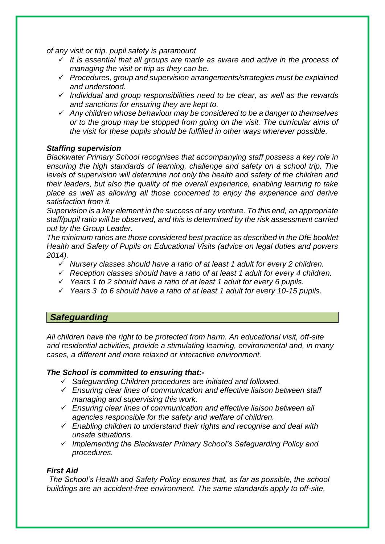*of any visit or trip, pupil safety is paramount*

- *It is essential that all groups are made as aware and active in the process of managing the visit or trip as they can be.*
- *Procedures, group and supervision arrangements/strategies must be explained and understood.*
- *Individual and group responsibilities need to be clear, as well as the rewards and sanctions for ensuring they are kept to.*
- *Any children whose behaviour may be considered to be a danger to themselves or to the group may be stopped from going on the visit. The curricular aims of the visit for these pupils should be fulfilled in other ways wherever possible.*

# *Staffing supervision*

*Blackwater Primary School recognises that accompanying staff possess a key role in ensuring the high standards of learning, challenge and safety on a school trip. The levels of supervision will determine not only the health and safety of the children and their leaders, but also the quality of the overall experience, enabling learning to take place as well as allowing all those concerned to enjoy the experience and derive satisfaction from it.*

*Supervision is a key element in the success of any venture. To this end, an appropriate staff/pupil ratio will be observed, and this is determined by the risk assessment carried out by the Group Leader.* 

*The minimum ratios are those considered best practice as described in the DfE booklet Health and Safety of Pupils on Educational Visits (advice on legal duties and powers 2014).* 

- *Nursery classes should have a ratio of at least 1 adult for every 2 children.*
- *Reception classes should have a ratio of at least 1 adult for every 4 children.*
- *Years 1 to 2 should have a ratio of at least 1 adult for every 6 pupils.*
- *Years 3 to 6 should have a ratio of at least 1 adult for every 10-15 pupils.*

# *Safeguarding*

*All children have the right to be protected from harm. An educational visit, off-site and residential activities, provide a stimulating learning, environmental and, in many cases, a different and more relaxed or interactive environment.* 

# *The School is committed to ensuring that:-*

- *Safeguarding Children procedures are initiated and followed.*
- *Ensuring clear lines of communication and effective liaison between staff managing and supervising this work.*
- *Ensuring clear lines of communication and effective liaison between all agencies responsible for the safety and welfare of children.*
- *Enabling children to understand their rights and recognise and deal with unsafe situations.*
- *Implementing the Blackwater Primary School's Safeguarding Policy and procedures.*

# *First Aid*

*The School's Health and Safety Policy ensures that, as far as possible, the school buildings are an accident-free environment. The same standards apply to off-site,*